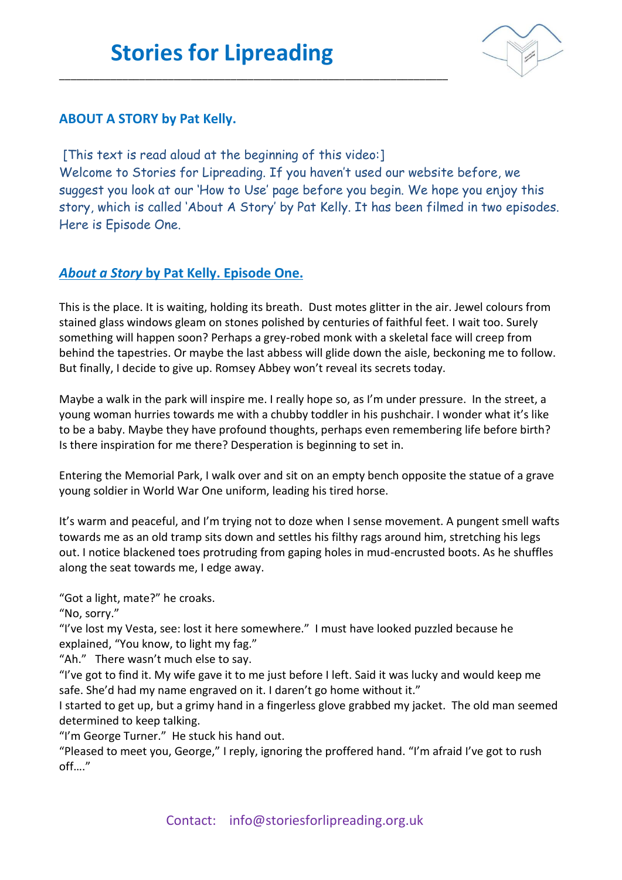\_\_\_\_\_\_\_\_\_\_\_\_\_\_\_\_\_\_\_\_\_\_\_\_\_\_\_\_\_\_\_\_\_\_\_\_\_\_\_\_\_\_\_\_\_\_\_\_\_\_\_\_\_\_\_\_\_\_\_\_\_\_\_\_\_\_\_\_



## **ABOUT A STORY by Pat Kelly.**

[This text is read aloud at the beginning of this video:] Welcome to Stories for Lipreading. If you haven't used our website before, we suggest you look at our 'How to Use' page before you begin. We hope you enjoy this story, which is called 'About A Story' by Pat Kelly. It has been filmed in two episodes. Here is Episode One.

## *About a Story* **by Pat Kelly. Episode One.**

This is the place. It is waiting, holding its breath. Dust motes glitter in the air. Jewel colours from stained glass windows gleam on stones polished by centuries of faithful feet. I wait too. Surely something will happen soon? Perhaps a grey-robed monk with a skeletal face will creep from behind the tapestries. Or maybe the last abbess will glide down the aisle, beckoning me to follow. But finally, I decide to give up. Romsey Abbey won't reveal its secrets today.

Maybe a walk in the park will inspire me. I really hope so, as I'm under pressure. In the street, a young woman hurries towards me with a chubby toddler in his pushchair. I wonder what it's like to be a baby. Maybe they have profound thoughts, perhaps even remembering life before birth? Is there inspiration for me there? Desperation is beginning to set in.

Entering the Memorial Park, I walk over and sit on an empty bench opposite the statue of a grave young soldier in World War One uniform, leading his tired horse.

It's warm and peaceful, and I'm trying not to doze when I sense movement. A pungent smell wafts towards me as an old tramp sits down and settles his filthy rags around him, stretching his legs out. I notice blackened toes protruding from gaping holes in mud-encrusted boots. As he shuffles along the seat towards me, I edge away.

"Got a light, mate?" he croaks.

"No, sorry."

"I've lost my Vesta, see: lost it here somewhere." I must have looked puzzled because he explained, "You know, to light my fag."

"Ah." There wasn't much else to say.

"I've got to find it. My wife gave it to me just before I left. Said it was lucky and would keep me safe. She'd had my name engraved on it. I daren't go home without it."

I started to get up, but a grimy hand in a fingerless glove grabbed my jacket. The old man seemed determined to keep talking.

"I'm George Turner." He stuck his hand out.

"Pleased to meet you, George," I reply, ignoring the proffered hand. "I'm afraid I've got to rush off…."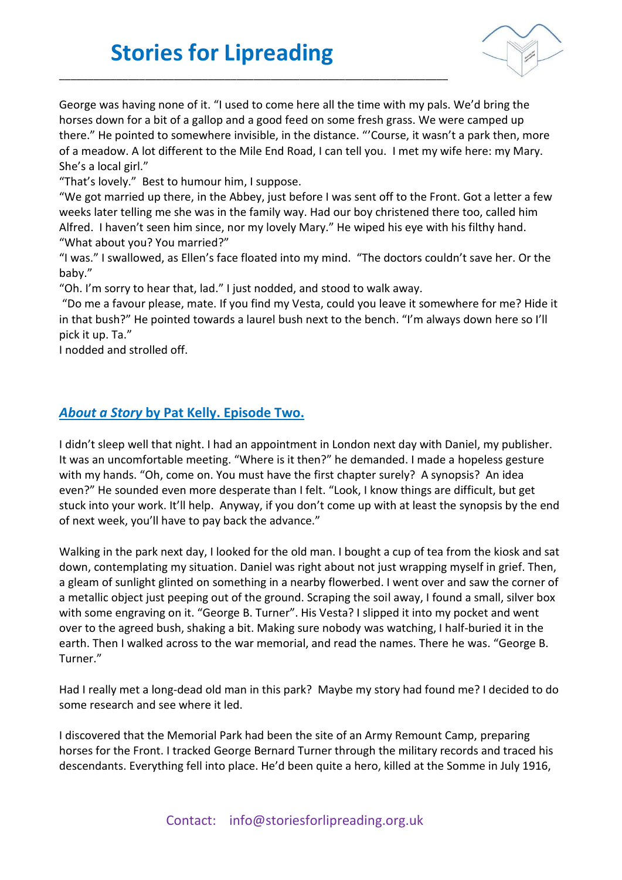## **Stories for Lipreading**

\_\_\_\_\_\_\_\_\_\_\_\_\_\_\_\_\_\_\_\_\_\_\_\_\_\_\_\_\_\_\_\_\_\_\_\_\_\_\_\_\_\_\_\_\_\_\_\_\_\_\_\_\_\_\_\_\_\_\_\_\_\_\_\_\_\_\_\_



George was having none of it. "I used to come here all the time with my pals. We'd bring the horses down for a bit of a gallop and a good feed on some fresh grass. We were camped up there." He pointed to somewhere invisible, in the distance. "'Course, it wasn't a park then, more of a meadow. A lot different to the Mile End Road, I can tell you. I met my wife here: my Mary. She's a local girl."

"That's lovely." Best to humour him, I suppose.

"We got married up there, in the Abbey, just before I was sent off to the Front. Got a letter a few weeks later telling me she was in the family way. Had our boy christened there too, called him Alfred. I haven't seen him since, nor my lovely Mary." He wiped his eye with his filthy hand. "What about you? You married?"

"I was." I swallowed, as Ellen's face floated into my mind. "The doctors couldn't save her. Or the baby."

"Oh. I'm sorry to hear that, lad." I just nodded, and stood to walk away.

"Do me a favour please, mate. If you find my Vesta, could you leave it somewhere for me? Hide it in that bush?" He pointed towards a laurel bush next to the bench. "I'm always down here so I'll pick it up. Ta."

I nodded and strolled off.

## *About a Story* **by Pat Kelly. Episode Two.**

I didn't sleep well that night. I had an appointment in London next day with Daniel, my publisher. It was an uncomfortable meeting. "Where is it then?" he demanded. I made a hopeless gesture with my hands. "Oh, come on. You must have the first chapter surely? A synopsis? An idea even?" He sounded even more desperate than I felt. "Look, I know things are difficult, but get stuck into your work. It'll help. Anyway, if you don't come up with at least the synopsis by the end of next week, you'll have to pay back the advance."

Walking in the park next day, I looked for the old man. I bought a cup of tea from the kiosk and sat down, contemplating my situation. Daniel was right about not just wrapping myself in grief. Then, a gleam of sunlight glinted on something in a nearby flowerbed. I went over and saw the corner of a metallic object just peeping out of the ground. Scraping the soil away, I found a small, silver box with some engraving on it. "George B. Turner". His Vesta? I slipped it into my pocket and went over to the agreed bush, shaking a bit. Making sure nobody was watching, I half-buried it in the earth. Then I walked across to the war memorial, and read the names. There he was. "George B. Turner."

Had I really met a long-dead old man in this park? Maybe my story had found me? I decided to do some research and see where it led.

I discovered that the Memorial Park had been the site of an Army Remount Camp, preparing horses for the Front. I tracked George Bernard Turner through the military records and traced his descendants. Everything fell into place. He'd been quite a hero, killed at the Somme in July 1916,